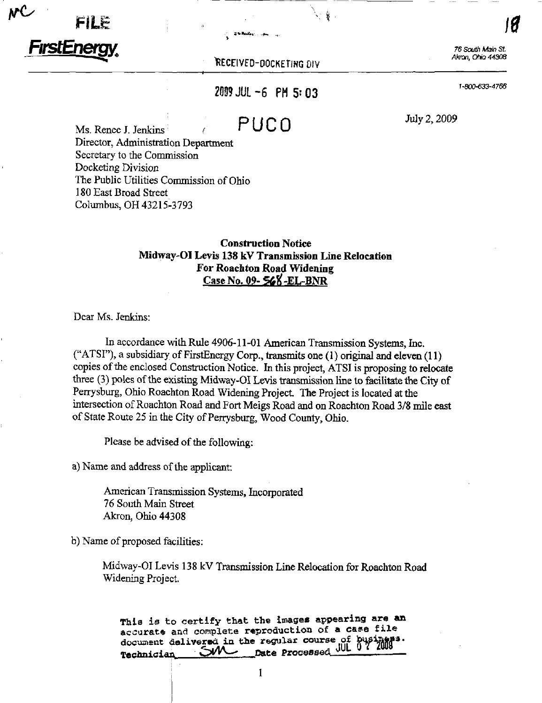Films in the second contract of the second contract of the second contract of the second contract of the second contract of the second contract of the second contract of the second contract of the second contract of the se FirstEnergy,

RECEIVED-DOCKETING DIV

1-

 $\cdot$  is the interval of  $\mathcal{B}$ 

76 South Main St.<br>Akron, Ohio 44308

2009 JUL -6 PM 5:03  $^{1-900-633-4766}$ 

 $P **U C**$   $O$   $\frac{J_{\text{uly 2,2009}}}{J_{\text{uly 2,2009}}}}$ 

Ms. Renee J. Jenkins r Director, Administration Department Secretary to the Commission Docketing Division The Public Utilities Commission of Ohio 180 East Broad Street Columbus, OH 43215^3793

## Construction Notice Midway-OI Levis 138 kV Transmission Line Relocation For Roachton Road Widening Case No. 09- 568-EL-BNR

Dear Ms. Jenkins:

In accordance with Rule 4906-11-01 American Transmission Systems, Inc. ("ATSI"), a subsidiary of FirstEnergy Corp., transmits one (1) original and eleven (11) copies of the enclosed Construction Notice. In this project, ATSI is proposing to relocate three (3) poles of the existing Midway-OI Levis transmission line to facilitate the City of Perrysburg, Ohio Roachton Road Widening Project. The Project is located at the intersection of Roachton Road and Fort Meigs Road and on Roachton Road 3/8 mile east of State Route 25 in the City of Perrysburg, Wood County, Ohio.

Please be advised of the following:

a) Name and address of the applicant:

American Transmission Systems, Incorporated 76 South Main Street Akron, Ohio 44308

b) Name of proposed facilities:

Midway-OI Levis 138 kV Transmission Line Relocation for Roachton Road Widening Project.

This is to certify that the images appearing are an accurate and complete reproduction of a case file accurate and the regular course of busi-<br>document delivered in the regular course of busi-Technician SVA Date Processed JUL 3

1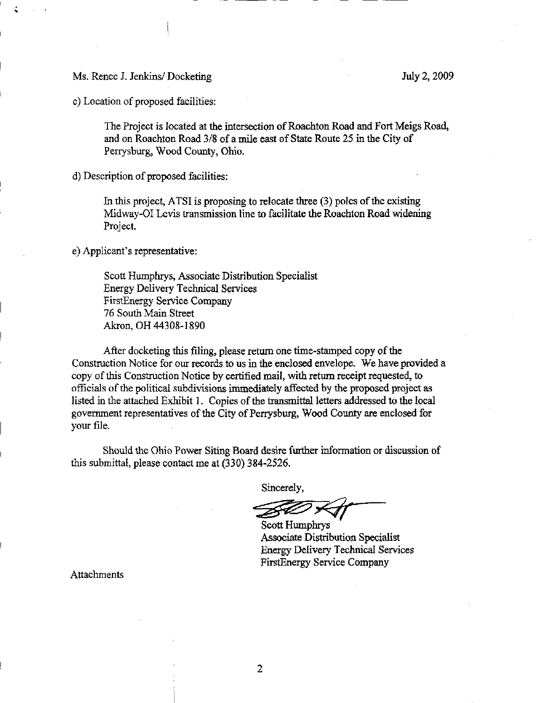Ms. Renee J. Jenkins/ Docketing July 2, 2009

c) Location of proposed facilities:

The Project is located at the intersection of Roachton Road and Fort Meigs Road, and on Roachton Road 3/8 of a mile east of State Route 25 in the City of Perrysburg, Wood County, Ohio.

d) Description of proposed facilities:

In this project, ATSI is proposing to relocate three (3) poles of the existing Midway-OI Levis transmission line to facilitate the Roachton Road widening Project.

e) Applicant's representative:

Scott Humphrys, Associate Distribution Specialist Energy Delivery Technical Services FirstEnergy Service Company 76 South Main Street Akron, OH 44308-1890

After docketing this filing, please return one time-stamped copy of the Constmction Notice for our records to us in the enclosed envelope. We have provided a copy of this Construction Notice by certified mail, with return receipt requested, to officials of the political subdivisions immediately affected by the proposed project as listed in the attached Exhibit 1. Copies of the transmittal letters addressed to the local government representatives of the City of Perrysburg, Wood County are enclosed for your file.

Should the Ohio Power Siting Board desire further information or discussion of this submittal, please contact me at (330) 384-2526.

Sincerely,

Scott Humphrys Associate Distribution Specialist Energy Delivery Technical Services FirstEnergy Service Company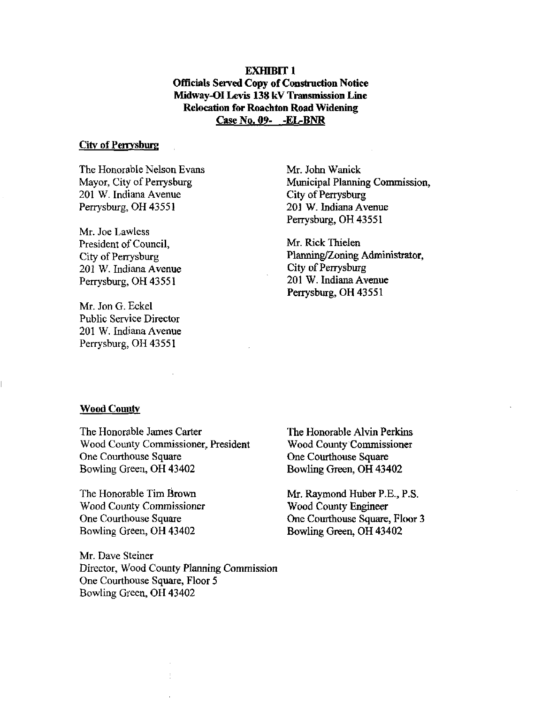**EXHIBIT 1** Officials Served Copy of Construction Notice Midway-OI Levis 138 kV Transmission Line Relocation for Roachton Road Widening Case No. 09- -EL-BNR

#### City of Perrysburg

The Honorable Nelson Evans Mayor, City of Perrysburg 201 W. Indiana Avenue Perrysburg, OH 43551

Mr. Joe Lawless President of Council, City of Perrysburg 201 W. Indiana Avenue Perrysburg, OH 43551

Mr. Jon G. Eckel Public Service Director 201 W. Indiana Avenue Perrysburg, OH 43551

Mr. John Wanick Municipal Planning Commission, City of Perrysburg 201 W. Indiana Avenue Perrysburg, OH 43551

Mr. Rick Thielen Planning/Zoning Administrator, City of Perrysburg 201 W. Indiana Avenue Perrysburg, OH 43551

#### **Wood County**

The Honorable James Carter Wood County Commissioner, President One Courthouse Square Bowling Green, OH 43402

The Honorable Tim Brown Wood County Commissioner One Courthouse Square Bowling Green, OH 43402

Mr. Dave Steiner Director, Wood County Planning Commission One Courthouse Square, Floor 5 Bowling Green, OH 43402

The Honorable Alvin Perkins Wood County Commissioner One Courthouse Square Bowling Green, OH 43402

Mr. Raymond Huber P.E., P.S. Wood County Engineer One Courthouse Square, Floor 3 Bowling Green, OH 43402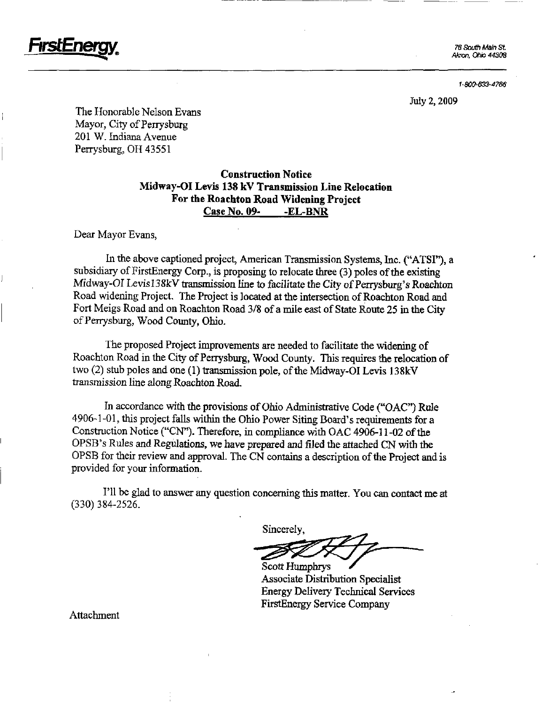

76 South Main St. Akron. Ohio 44308

1-800-633-4766

July 2,2009

The Honorable Nelson Evans Mayor, City of Perrysburg 201 W. Indiana Avenue Perrysburg, OH 43551

## Construction Notice Midway-OI Levis 138 kV Transmission Line Relocation For the Roachton Road Widening Project Case No. 09- -EL-BNR

Dear Mayor Evans,

In the above captioned project, American Transmission Systems, Inc. ("ATSI"), a subsidiary of FirstEnergy Corp., is proposing to relocate three (3) poles of the existing Midway-OI Levisl38kV transmission line to facilitate the City of Perrysburg's Roachton Road widening Project The Project is located at the intersection of Roachton Road and Fort Meigs Road and on Roachton Road 3/8 of a mile east of State Route 25 in the City of Perrysburg, Wood County, Ohio.

The proposed Project improvements are needed to facilitate the widening of Roachton Road in the City of Perrysburg, Wood County. This requires the relocation of two (2) stub poles and one (1) transmission pole, of the Midway-OI Levis 138kV transmission line along Roachton Road.

In accordance with the provisions of Ohio Administrative Code ("OAC") Rule 4906-1-01, this project falls within the Ohio Power Siting Board's requirements fora Construction Notice ("CN"). Therefore, in compliance with OAC 4906-11-02 of the OPSB's Rules and Regulations, we have prepared and filed the attached CN vrith ihe OPSB for their review and approval. The CN contains a description of the Project and is provided for your information.

I'll be glad to answer any question concerning this matter. You can contact me at (330) 384-2526.

Sincerely

Scott Humphrys

Associate Distribution Specialist Energy Dehvery Technical Services FirstEnergy Service Company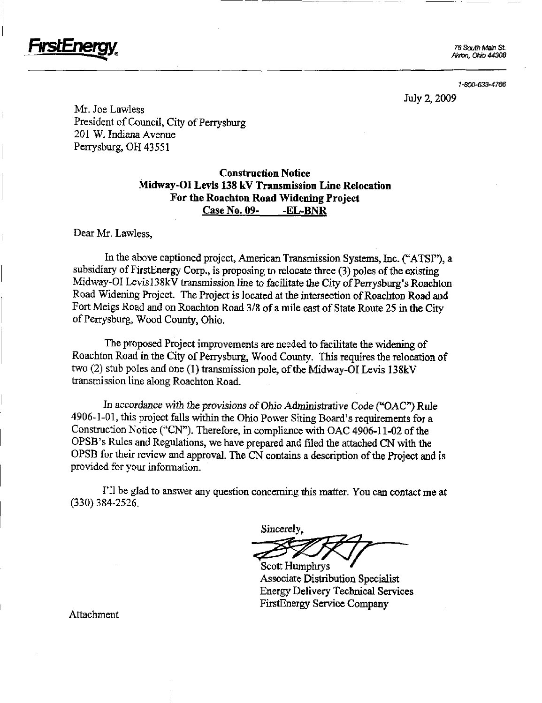76 South Main St. Akron, Ohio 44308

FirstEnergy

1-e0O-633-4766

July 2,2009

Mr. Joe Lawless President of Council, City of Perrysburg 201 W. Indiana Avenue Perrysburg, OH 43551

## Construction Notice Midway-OI Levis 138 kV Transmission Line Relocation For the Roachton Road Widening Project Case No. 09-<br>-EL-BNR

Dear Mr. Lawless,

In the above captioned project, American Transmission Systems, Inc. ("ATSF'), a subsidiary of FirstEnergy Corp., is proposing to relocate three (3) poles of the existing Midway-OI Levis]38kV transmission line to facilitate the City of Perrysburg's Roachton Road Widening Project. The Project is located at the intersection of Roachton Road and Fort Meigs Road and on Roachton Road 3/8 of a mile east of State Route 25 in the City of Perrysburg, Wood County, Ohio.

The proposed Project improvements are needed to facilitate the widening of Roachton Road in the City of Perrysburg, Wood County. This requires the relocation of two (2) stub poles and one (1) transmission pole, of the Midway-OI Levis 138kV transmission line along Roachton Road.

In accordance with the provisions of Ohio Administrative Code ("OAC") Rule 4906-1-01, this project falls within the Ohio Power Siting Board's requirements for a Construction Notice ("CN"). Therefore, in compliance with OAC 4906-11-02 of the OPSB's Rules and Regulations, we have prepared and filed the attached CN with the OPSB for their review and approval. The CN contains a description of the Project and is provided for your information.

I'll be glad to answer any question concerning this matter. You can contact me at (330) 384-2526.

Sincerely,

Scott Humphrys Associate Distribution Specialist Energy Delivery Technical Services FirstEnergy Service Company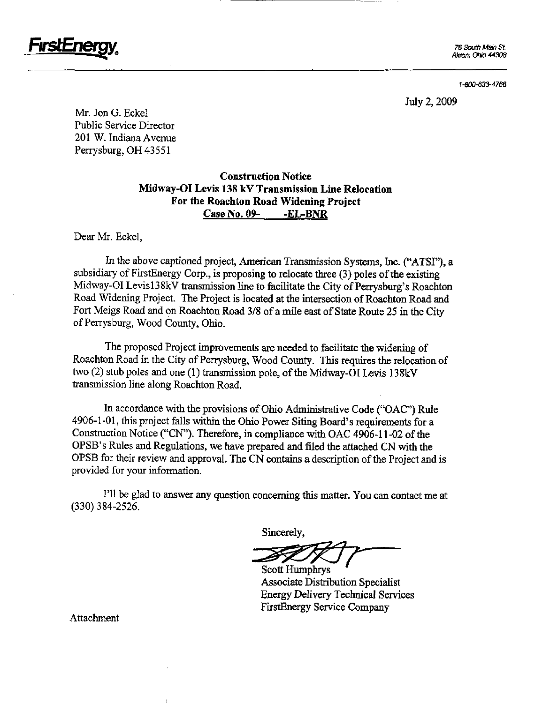

76 South Main St. Akron, Ohio 44308

1-800-633-4766

July 2,2009

Mr. Jon G. Eckel Public Service Director 201 W. Indiana Avenue Perrysburg, OH 43551

## Construction Notice Midway-OI Levis 138 kV Transmission Line Relocation For the Roachton Road Widening Project Case No, 09- -EL-BNR

Dear Mr. Eckel,

In the above captioned project, American Transmission Systems, Inc. ("ATSI"), a subsidiary of FirstEnergy Corp., is proposing to relocate three (3) poles of the existing Midway-OI Levis138kV transmission line to facilitate the City of Perrysburg's Roachton Road Widening Project. The Project is located at the intersection of Roachton Road and Fort Meigs Road and on Roachton Road 3/8 of a mile east of State Route 25 in the City of Perrysburg, Wood County, Ohio.

The proposed Project improvements are needed to facilitate the widening of Roachton Road in the City of Perrysburg, Wood County. This requires the relocation of two (2) stub poles and one (1) transmission pole, of the Midway-OI Levis 138kV transmission line along Roachton Road.

In accordance with the provisions of Ohio Administrative Code ("OAC") Rule  $4906-1-01$ , this project falls within the Ohio Power Siting Board's requirements for a Construction Notice ("CN"). Therefore, in compliance with OAC 4906-11-02 of the OPSB's Rules and Regulations, we have prepared and filed the attached CN with the OPSB for their review and approval. The CN contains a description of the Project and is provided for your information.

I'll be glad to answer any question concerning this matter. You can contact me at (330) 384-2526.

Sincerely,

Scott Humphrys

Associate Distribution Specialist Energy Delivery Technical Services FirstEnergy Service Company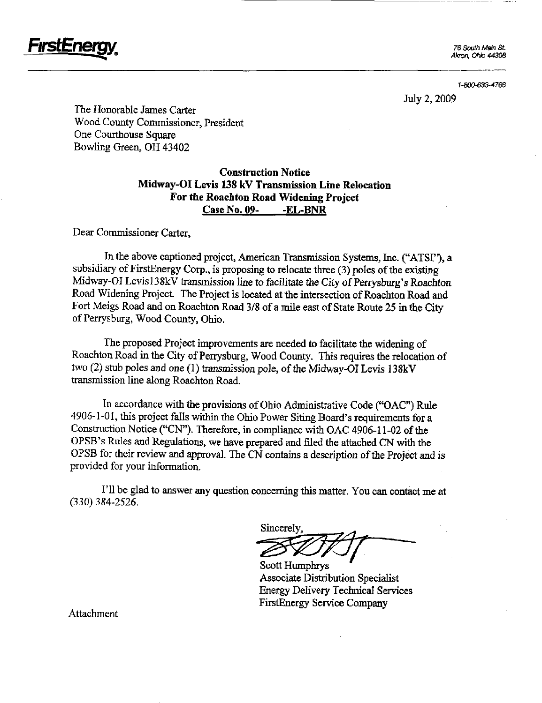

Akron, Ohio 44308

1-800-633-4766

July 2,2009

The Honorable James Carter Wood County Commissioner, President One Courthouse Square Bowling Green, OH 43402

## Construction Notice Midway-OI Levis 138 kV Transmission Line Relocation For the Roachton Road Widening Project Case No, 09- -EL-BNR

Dear Commissioner Carter,

In the above captioned project, American Transmission Systems, Inc. ("ATSI"), a subsidiary of FirstEnergy Corp., is proposing to relocate three (3) poles of the existing Midway-OI Levisl38kV transmission line to facilitate the City of Perrysburg's Roachton Road Widening Project. The Project is located at the intersection of Roachton Road and Fort Meigs Road and on Roachton Road 3/8 of a mile east of State Route 25 in the City of Perrysburg, Wood County, Ohio.

The proposed Project improvements are needed to facilitate the widening of Roachton Road in the City of Perrysburg, Wood County. This requires the relocation of two (2) stub poles and one (1) transmission pole, of the Midway-OI Levis 138kV transmission Ime along Roachton Road.

In accordance with the provisions of Ohio Administrative Code (" $OAC$ ") Rule 4906-1-01, this project falls within the Ohio Power Siting Board's requirements for a Construction Notice ("CN"). Therefore, in compliance with OAC 4906-11-02 of the OPSB's Rules and Regulations, we have prepared and filed the attached CN with the OPSB for their review and approval. The CN contains a description of the Project and is provided for your information.

I'll be glad to answer any question concerning this matter. You can contact me at (330) 384-2526.

Sincerely

Scott Humphrys Associate Distribution Specialist Energy Delivery Technical Services FirstEnergy Service Company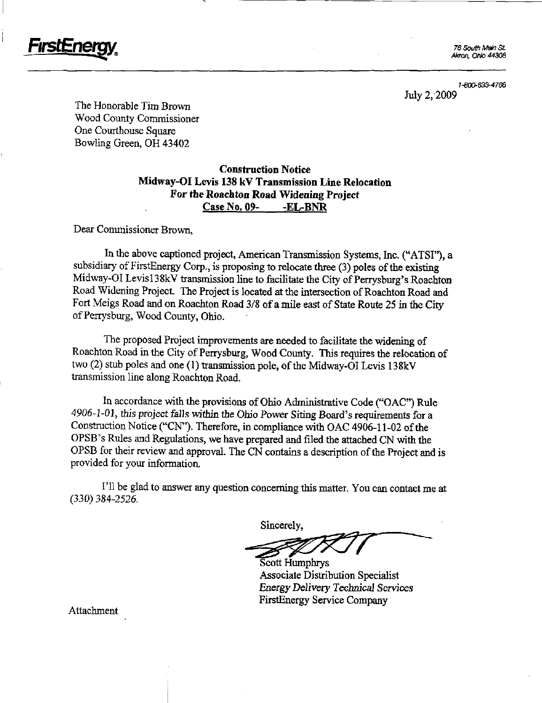

Akron, Ohb 44308

1-800-633-4766 July 2, 2009

The Honorable Tim Brown Wood County Commissioner One Courthouse Square Bowling Green, OH 43402

## Construction Notice Midway-OI Levis 138 kV Transmission Line Relocation For the Roachton Road Widening Project Case No. 09- -EL-BNR

Dear Commissioner Brown,

In the above captioned project, American Transmission Systems, Inc. ("ATSI"), a subsidiary of FirstEnergy Corp., is proposing to relocate three (3) poles of the existing Midway-OI Levis138kV transmission line to facilitate the City of Perrysburg's Roachton Road Widening Project. The Project is located at the intersection of Roachton Road and Fort Meigs Road and on Roachton Road 3/8 of a mile east of State Route 25 in the City of Perrysburg, Wood County, Ohio.

The proposed Project improvements are needed to facilitate the widening of Roachton Road in the City of Perrysburg, Wood County. This requires the relocation of two (2) stub poles and one (1) transmission pole, of the Midway-OI Levis 138kV transmission line along Roachton Road.

In accordance with the provisions of Ohio Administrative Code ("OAC") Rule 4906-1-01, this project falls within the Ohio Power Siting Board's requirements for a Construction Notice ("CN"). Therefore, in compliance with OAC 4906-11-02 of the OPSB's Rules and Regulations, we have prepared and filed the attached CN with the OPSB for their review and approval. The CN contains a description of the Project and is provided for your information.

I'll be glad to answer any question concerning this matter. You can contact me at (330) 384-2526.

Sincerely,

Scott Humphrys Associate Distribution Specialist Energy Delivery Technical Services FirstEnergy Service Company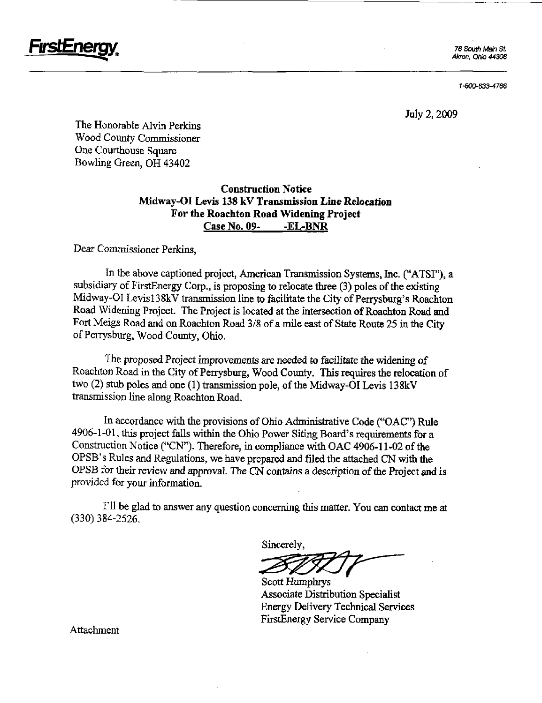

Akron, Ohio 44308

1-800-633-4766

July 2,2009

The Honorable Alvin Perkins Wood County Commissioner One Courthouse Square Bowling Green, OH 43402

## Construction Notice Midway-OI Levis 138 kV Transmission Line Relocation For the Roachton Road Widening Project Case No. 09- -EL-BNR

Dear Commissioner Perkins,

In the above captioned project, American Transmission Systems, Inc. ("ATSI"), a subsidiary of FirstEnergy Corp., is proposing to relocate three (3) poles of the existing Midway-OI Levisl38kV transmission line to facilitate the City of Perrysburg's Roachton Road Widening Project. The Project is located at the intersection of Roachton Road and Fort Meigs Road and on Roachton Road 3/8 of a mile east of State Route 25 in the City of Perrysburg, Wood County, Ohio.

The proposed Project improvements are needed to facilitate the widening of Roachton Road in the City of Perrysburg, Wood County. This requires the relocation of two  $(2)$  stub poles and one  $(1)$  transmission pole, of the Midway-OI Levis 138kV transmission line along Roachton Road.

In accordance with the provisions of Ohio Administrative Code ("OAC") Rule  $4906-1-01$ , this project falls within the Ohio Power Siting Board's requirements for a Construction Notice ("CN"). Therefore, in compliance with OAC 4906-11-02 of the OPSB's Rules and Regulations, we have prepared and filed the attached CN with the OPSB for their review and approval. The CN contains a description of the Project and is provided for your information.

I'll be glad to answer any question concerning this matter. You can contact me at (330) 384-2526.

Sincerely,

Scott Humphrys Associate Distribution Specialist Energy Delivery Technical Services FirstEnergy Service Company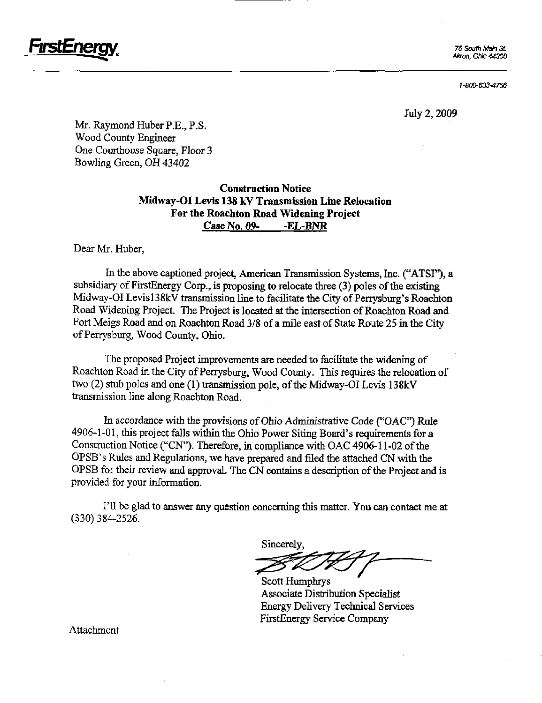

76 South Main St. Akron, Ohio 44308

1-800-633-4766

July 2,2009

Mr. Raymond Huber P.E., P.S. Wood County Engineer One Courthouse Square, Floor 3 Bowling Green, OH 43402

## Construction Notice Midway-OI Levis 138 kV Transmission Line Relocation For the Roachton Road Widening Project Case No, 09- -EL-BNR

Dear Mr. Huber,

In the above captioned project, American Transmission Systems, Inc. ("ATSI"), a subsidiary of FirstEnergy Corp., is proposing to relocate three (3) poles of the existing Midway-OI Levis138kV transmission line to facilitate the City of Perrysburg's Roachton Road Widening Project. The Project is located at the intersection of Roachton Road and Fort Meigs Road and on Roachton Road 3/8 of a mile east of State Route 25 m the City of Perrysburg, Wood Coimty, Ohio.

The proposed Project improvements are needed to facilitate the widening of Roachton Road in the City of Perrysburg, Wood County. This requires the relocation of two (2) stub poles and one (1) transmission pole, of the Midway-OI Levis I38kV transmission line along Roachton Road.

In accordance with the provisions of Ohio Administrative Code ("OAC") Rule  $4906-1-01$ , this project falls within the Ohio Power Siting Board's requirements for a Construction Notice ("CN"). Therefore, in compliance with OAC 4906-11-02 of the OPSB's Rules and Regulations, we have prepared and filed the attached CN with the OPSB for their review and approval. The CN contains a description of tbe Project and is provided for your information.

I'll be glad to answer any question concerning this matter. You can contact me at (330) 384-2526.

Sincerely,

Scott Humphrys Associate Distribution Specialist Energy Delivery Technical Services FirstEnergy Service Company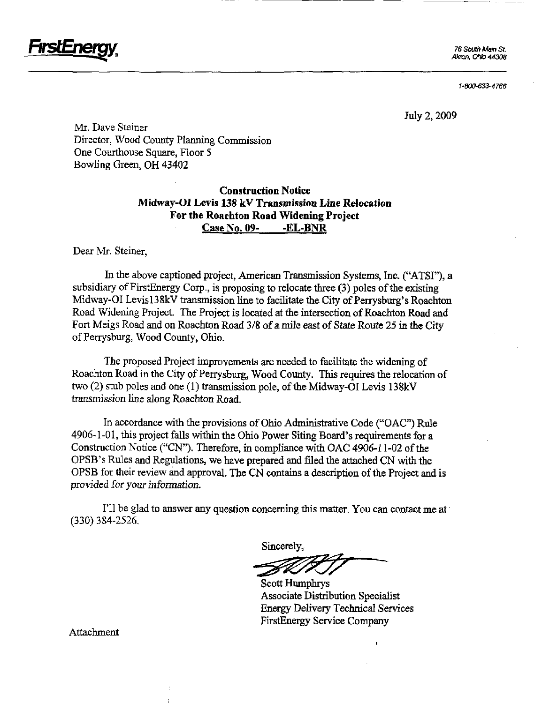

Akron, Ohio 44308

1-800-633-4766

July 2,2009

Mr. Dave Steiner Director, Wood County Planning Commission One Courthouse Square, Floor 5 Bowling Green, OH 43402

## Construction Notice Midway-OI Levis 138 kV Transmission Line Relocation For the Roachton Road Widening Project Case No. 09- -EL-BNR

Dear Mr. Steiner,

In the above captioned project, American Transmission Systems, Inc. ("ATSI"), a subsidiary of FirstEnergy Corp., is proposing to relocate three (3) poles of the existing Midway-OI Levis138kV transmission line to facilitate the City of Perrysburg's Roachton Road Widening Project. The Project is located at the intersection of Roachton Road and Fort Meigs Road and on Roachton Road 3/8 of a mile east of State Route 25 in the City of Perrysburg, Wood County, Ohio.

The proposed Project improvements are needed to facilitate the widening of Roachton Road in the City of Perrysburg, Wood County. This requires the relocation of two (2) stub poles and one (1) transmission pole, of the Midway-OI Levis 138kV transmission line along Roachton Road.

In accordance with the provisions of Ohio Administrative Code ("OAC") Rule 4906-1-01, this project falls within the Ohio Power Siting Board's requirements for a Construction Notice ("CN"). Therefore, in compliance with OAC 4906-11-02 of the OPSB's Rules and Regulations, we have prepared and filed the attached CN with the OPSB for their review and approval. The CN contains a description of the Project and is provided for your information.

I'll be glad to answer any question concerning this matter. You can contact me at (330) 384-2526.

Sincerely,

Scott Humphrys Associate Distribution Specialist Energy Dehvery Technical Services FirstEnergy Service Company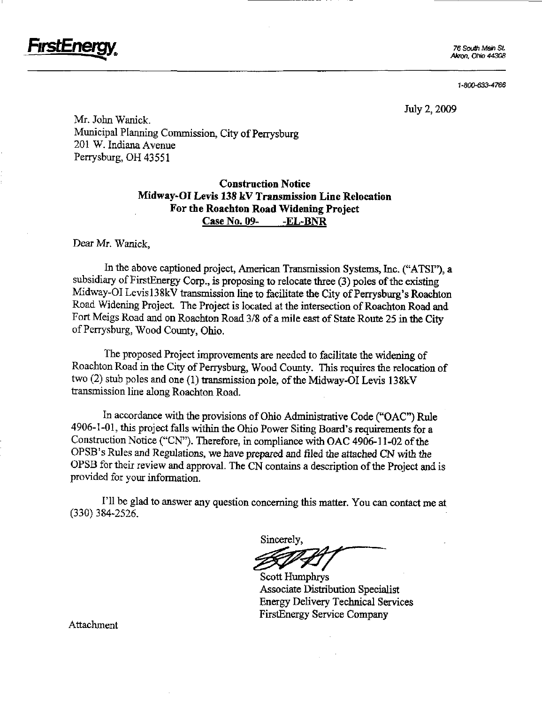76 South Main St Akron, Ohio 44308

1-800-633-4766

July 2,2009

Mr. John Wanick. Municipal Planning Commission, City of Perrysburg 201 W. Indiana Avenue Perrysburg, OH 43551

## Construction Notice Midway-OI Levis 138 kV Transmission Line Relocation For the Roachton Road Widening Project Case No. 09- -EL-BNR

Dear Mr. Wanick,

In the above captioned project, American Transmission Systems, Inc. ("ATSI"), a subsidiary of FirstEnergy Corp., is proposing to relocate three (3) poles of the existing Midway-OI Levis138kV transmission line to facilitate the City of Perrysburg's Roachton Road Widening Project. The Project is located at the intersection of Roachton Road and Fort Meigs Road and on Roachton Road 3/8 of a mile east of State Route 25 in the City of Perrysburg, Wood County, Ohio.

The proposed Project improvements are needed to facilitate the widening of Roachton Road in the City of Perrysburg, Wood County. This requires the relocation of two (2) stub poles and one (1) transmission pole, of the Midway-OI Levis 138kV transmission line along Roachton Road.

In accordance with the provisions of Ohio Administrative Code ("OAC") Rule 4906-1-01, this project falls within the Ohio Power Siting Board's requirements for a Construction Notice ("CN"). Therefore, in compliance with OAC 4906-11-02 of the OPSB's Rules and Regulations, we have prepared and filed the attached CN with the OPSB for their review and approval. The CN contains a description of the Project and is provided for your information.

I'll be glad to answer any question concerning this matter. You can contact me at (330) 384-2526.

Sincerely,

Scott Humphrys Associate Distribution Specialist Energy Delivery Technical Services FirstEnergy Service Company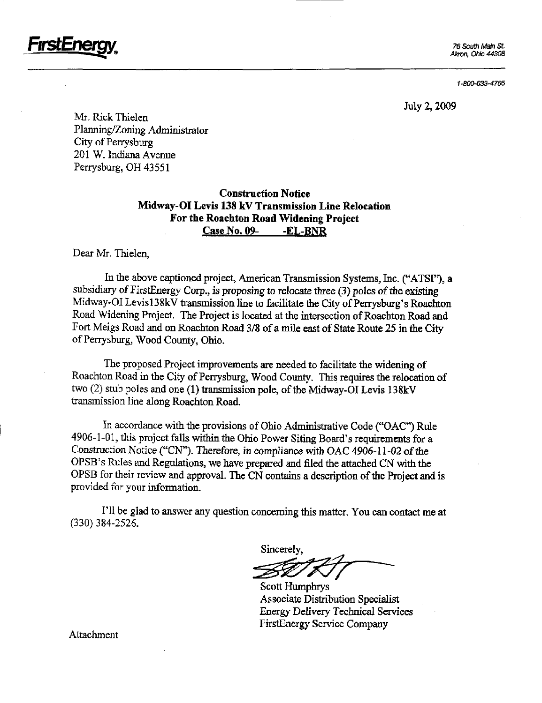

Akron. Ohio 44308

1-800-633-4766

July 2,2009

Mr. Rick Thielen Planning/Zoning Administrator City of Perrysburg 201 W. Indiana Avenue Perrysburg, OH 43551

## Construction Notice Midway-OI Levis 138 kV Transmission Line Relocation For the Roachton Road Widening Project Case No. 09- -EL-BNR

Dear Mr. Thielen,

In the above captioned project, American Transmission Systems, Inc. ("ATSI"), a subsidiary of FirstEnergy Corp., is proposing to relocate three (3) poles of the existing Midway-OI Levis138kV transmission line to facilitate the City of Perrysburg's Roachton Road Widening Project. The Project is located at the mtersection of Roachton Road and Fort Meigs Road and on Roachton Road 3/8 of a mile east of State Route 25 in the City of Perrysburg, Wood County, Ohio.

The proposed Project improvements are needed to facilitate the widening of Roachton Road in the City of Perrysburg, Wood County. This requires the relocation of two  $(2)$  stub poles and one  $(1)$  transmission pole, of the Midway-OI Levis 138kV transmission line along Roachton Road.

In accordance with the provisions of Ohio Admmistrative Code ("OAC") Rule  $4906-1-01$ , this project falls within the Ohio Power Siting Board's requirements for a Construction Notice ("CN"). Therefore, in compliance with OAC 4906-11-02 of the OPSB's Rules and Regulations, we have prepared and filed the attached CN with the OPSB for their review and approval. The CN contains a description of the Project and is provided for your information.

I'll be glad to answer any question concerning this matter. You can contact me at (330)384-2526.

Sincerely,

Scott Humphrys Associate Distribution Specialist Energy Delivery Technical Services FirstEnergy Service Company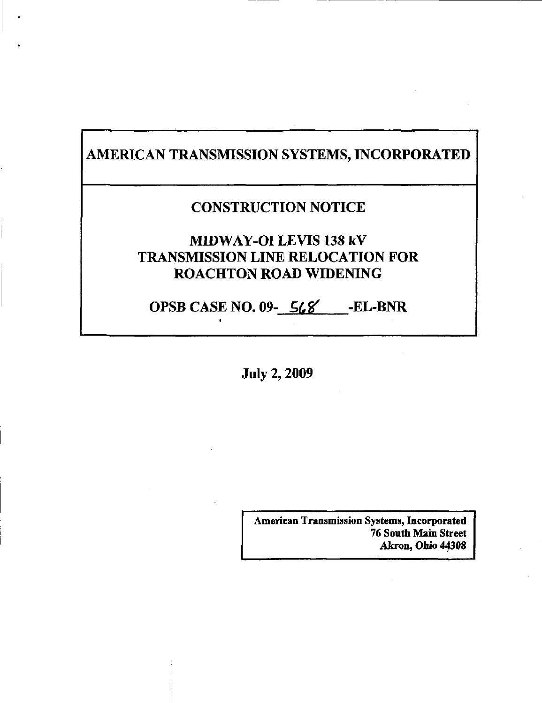# AMERICAN TRANSMISSION SYSTEMS, INCORPORATED

# CONSTRUCTION NOTICE

# MIDWAY-OI LEVIS 138 kV TRANSMISSION LINE RELOCATION FOR ROACHTON ROAD WIDENING

OPSB CASE NO.  $09 - 568$  -EL-BNR

July 2,2009

American Transmission Systems, Incorporated 76 South Main Street Akron, Ohio 44308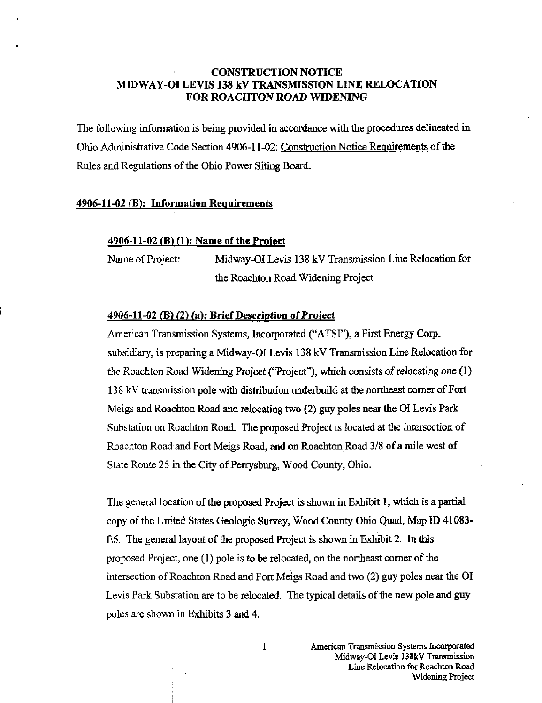## CONSTRUCTION NOTICE MIDWAY-OI LEVIS 138 kV TRANSMISSION LINE RELOCATION FOR ROACHTON ROAD WIDENING

The following information is being provided m accordance with the procedures delmeated in Ohio Administrative Code Section 4906-11-02: Construction Notice Requirements of the Rules and Regulations of the Ohio Power Siting Board.

### 4906-11-02 (B): Information Requirements

#### 4906-11-02 (B) (1): Name of the Project

Name of Project: Midway-OI Levis 138 kV Transmission Line Relocation for the Roachton Road Widening Project

### 4906-11-02 (B) (2) (a): Brief Description of Project

American Transmission Systems, Incorporated ("ATSI"), a First Energy Corp. subsidiary, is preparing a Midway-OI Levis 138 kV Transmission Line Relocation for the Roachton Road Widening Project ("Project"), which consists of relocating one (1) 138 kV transmission pole with distribution underbuild at the northeast comer of Fort Meigs and Roachton Road and relocating two (2) guy poles near the 01 Levis Park Substation on Roachton Road. The proposed Project is located at the intersection of Roachton Road and Fort Meigs Road, and on Roachton Road 3/8 of a mile west of State Route 25 in the City of Perrysburg, Wood County, Ohio.

The general location of the proposed Project is shown in Exhibit 1, which is a partial copy of the United States Geologic Survey, Wood County Ohio Quad, Map ID 41083- E6. The general layout of the proposed Project is shown in Exhibit 2. In this proposed Project, one (1) pole is to be relocated, on the northeast comer of the intersection of Roachton Road and Fort Meigs Road and two (2) guy poles near the 01 Levis Park Substation are to be relocated. The typical details of the new pole and guy poles are shown in Exhibits 3 and 4.

1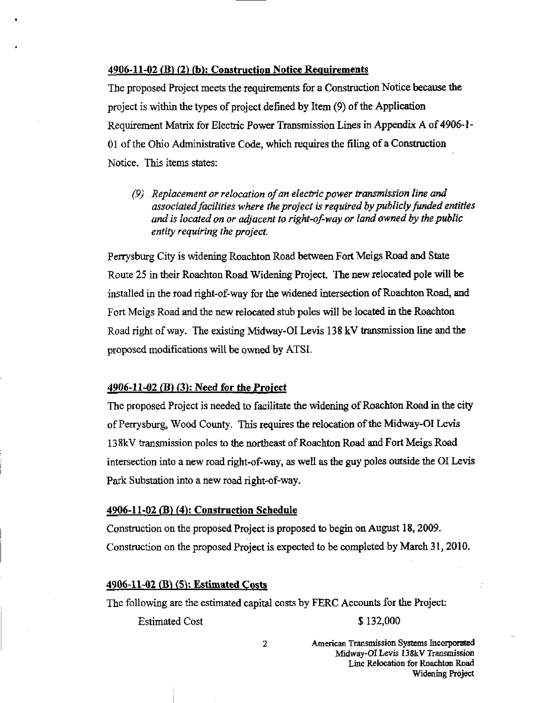#### 4906-11-02 (B) (2) (h): Construction Notice Requirements

The proposed Project meets the requirements for a Construction Notice because the project is within the types of project defined by Item  $(9)$  of the Application Requirement Matrix for Electric Power Transmission Lines in Appendix A of 4906-1- 01 of the Ohio Admmistrative Code, which requires the filing of a Constmction Notice. This items states:

(9) Replacement or relocation of an electric power transmission line and associated facilities where the project is required by publicly funded entities and is located on or adjacent to right-of-way or land owned by the public entity requiring the project.

Perrysburg City is widening Roachton Road between Fort Meigs Road and State Route 25 in their Roachton Road Widening Project. The new relocated pole will be installed in the road right-of-way for the widened intersection of Roachton Road, and Fort Meigs Road and the new relocated stub poles will be located in the Roachton Road right of way. The existing Midway-OI Levis 138 kV transmission line and the proposed modifications will be owned by ATSI.

### 4906-11-02 (B) (3): Need for the Project

The proposed Project is needed to facilitate the widerung of Roachton Road in the city of Perrysburg, Wood County. This requires the relocation of the Midway-OI Levis 138kV transmission poles to the northeast of Roachton Road and Fort Meigs Road intersection into a new road right-of-way, as well as the guy poles outside the OI Levis Park Substation into a new road right-of-way.

#### 4906-11-02 (B) (4): Construction Schedule

Constmction on the proposed Project is proposed to begin on August 18,2009. Constmction on the proposed Project is expected to be completed by March 31,2010.

### 4906-11-02 (B) (5): Estimated Costs

The following are the estimated capital costs by FERC Accounts for the Project:

Estimated Cost \$ 132,000

2 American Transmission Systems Incorporated Midway-OI Levis 138kV Transmission Line Relocation for Roachton Road Widening Project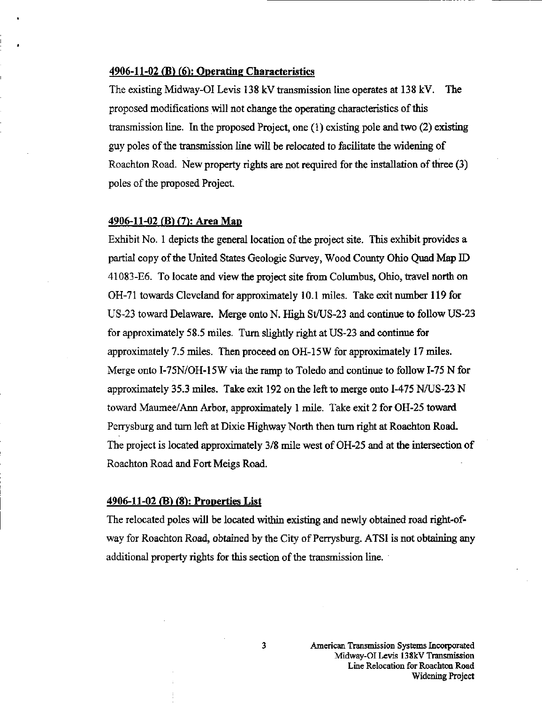### 4906-11-02 (B) (6): Operating Characteristics

The existing Midway-OI Levis 138 kV transmission line operates at 138 kV. The proposed modifications will not change the operating characteristics of this transmission line. In the proposed Project, one (1) existing pole and two (2) existing guy poles of the transmission line will be relocated to facilitate the widening of Roachton Road. New property rights are not required for the installation of three (3) poles of the proposed Project.

#### 4906-11-02 (B) (7): Area Man

Exhibit No. 1 depicts the general location of the project site. This exhibit provides a partial copy of the United States Geologic Survey, Wood County Ohio Quad Map ID 41083-E6. To locate and view the project site from Columbus, Ohio, travel north on OH-71 towards Cleveland for approximately 10.1 miles. Take exit number 119 for US-23 toward Delaware. Merge onto N. High St/US-23 and continue to follow US-23 for approximately 58.5 miles. Turn slightly right at US-23 and continue for approximately 7.5 miles. Then proceed on 0H-15W for approximately 17 miles. Merge onto I-75N/OH-15W via the ramp to Toledo and continue to follow 1-75 N for approximately 35.3 miles. Take exit 192 on the left to merge onto 1-475 N/US-23 N toward Maumee/Ann Arbor, approximately 1 mile. Take exit 2 for OH-25 toward Perrysburg and tum left at Dixie Highway North then tum right at Roachton Road. The project is located approximately 3/8 mile west of OH-25 and at the intersection of Roachton Road and Fort Meigs Road.

#### 4906-11-02 (B) (S): Properties List

The relocated poles will be located within existing and newly obtained road right-ofway for Roachton Road, obtained by the City of Perrysburg. ATSI is not obtaining any additional property rights for this section of the transmission line.

3